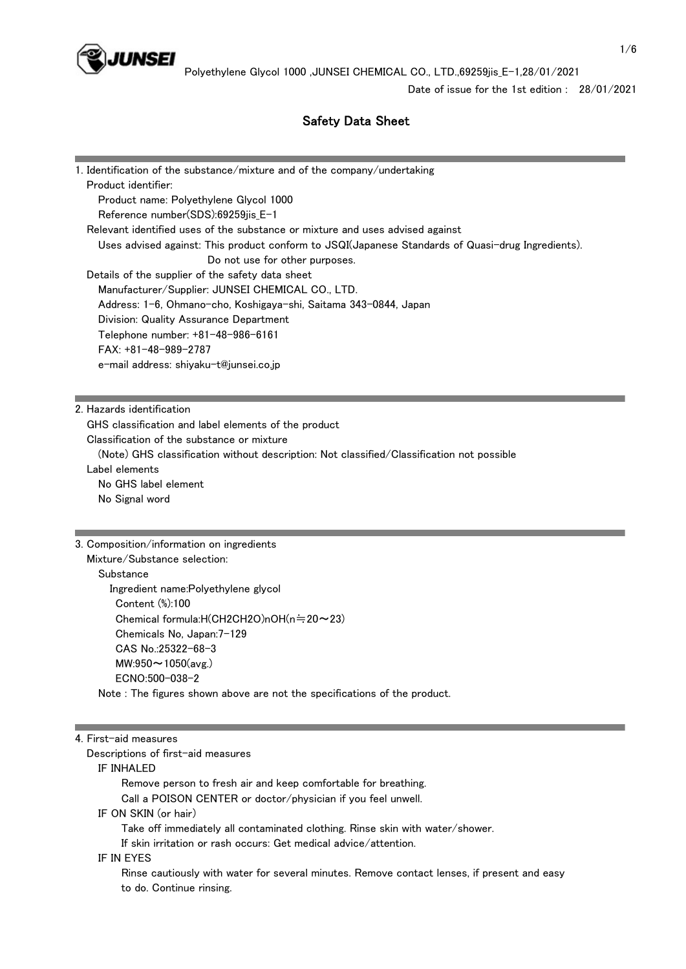

Date of issue for the 1st edition : 28/01/2021

# Safety Data Sheet

| 1. Identification of the substance/mixture and of the company/undertaking                         |
|---------------------------------------------------------------------------------------------------|
| Product identifier:                                                                               |
| Product name: Polyethylene Glycol 1000                                                            |
| Reference number(SDS):69259jis_E-1                                                                |
| Relevant identified uses of the substance or mixture and uses advised against                     |
| Uses advised against: This product conform to JSQI(Japanese Standards of Quasi-drug Ingredients). |
| Do not use for other purposes.                                                                    |
| Details of the supplier of the safety data sheet                                                  |
| Manufacturer/Supplier: JUNSEI CHEMICAL CO., LTD.                                                  |
| Address: 1-6, Ohmano-cho, Koshigaya-shi, Saitama 343-0844, Japan                                  |
| Division: Quality Assurance Department                                                            |
| Telephone number: +81-48-986-6161                                                                 |
| $FAX: +81-48-989-2787$                                                                            |
| e-mail address: shiyaku-t@junsei.co.jp                                                            |
|                                                                                                   |
|                                                                                                   |
| 2. Hazards identification                                                                         |
| GHS classification and label elements of the product                                              |
| Classification of the substance or mixture                                                        |

 (Note) GHS classification without description: Not classified/Classification not possible Label elements No GHS label element No Signal word

#### 3. Composition/information on ingredients

```
 Mixture/Substance selection: 
Substance
   Ingredient name:Polyethylene glycol 
    Content (%):100 
    Chemical formula:H(CH2CH2O)nOH(n≒20~23) 
    Chemicals No, Japan:7-129 
    CAS No.:25322-68-3 
    MW:950~1050(avg.) 
    ECNO:500-038-2 
 Note : The figures shown above are not the specifications of the product.
```
#### 4. First-aid measures

Descriptions of first-aid measures

#### IF INHALED

 Remove person to fresh air and keep comfortable for breathing. Call a POISON CENTER or doctor/physician if you feel unwell. IF ON SKIN (or hair) Take off immediately all contaminated clothing. Rinse skin with water/shower. If skin irritation or rash occurs: Get medical advice/attention.

## IF IN EYES

 Rinse cautiously with water for several minutes. Remove contact lenses, if present and easy to do. Continue rinsing.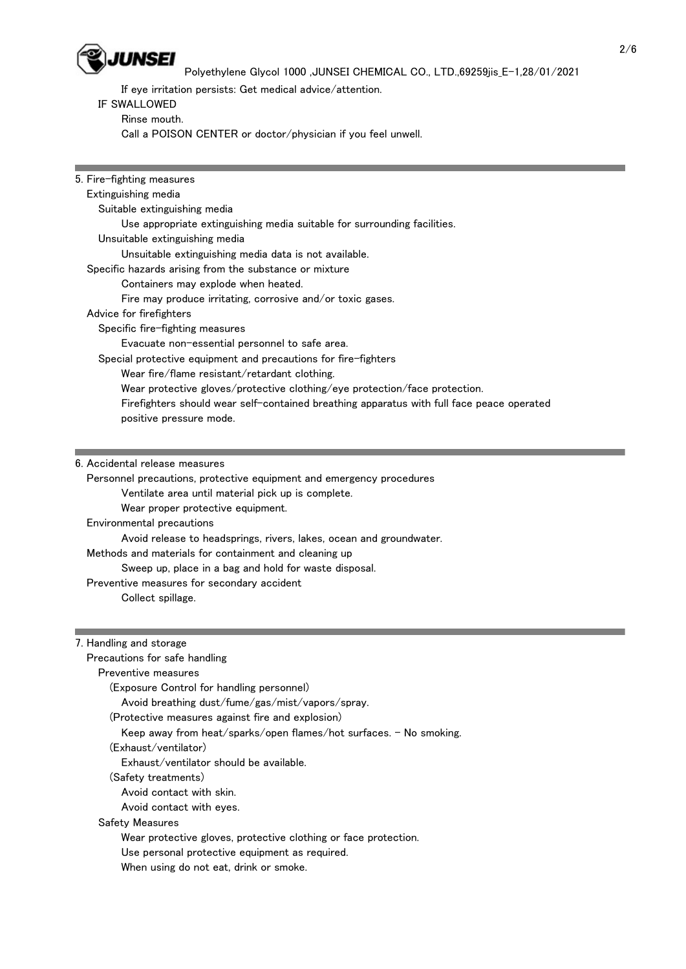

If eye irritation persists: Get medical advice/attention.

## IF SWALLOWED

Rinse mouth.

Call a POISON CENTER or doctor/physician if you feel unwell.

| 5. Fire-fighting measures                                                                 |
|-------------------------------------------------------------------------------------------|
| Extinguishing media                                                                       |
| Suitable extinguishing media                                                              |
| Use appropriate extinguishing media suitable for surrounding facilities.                  |
| Unsuitable extinguishing media                                                            |
| Unsuitable extinguishing media data is not available.                                     |
| Specific hazards arising from the substance or mixture                                    |
| Containers may explode when heated.                                                       |
| Fire may produce irritating, corrosive and/or toxic gases.                                |
| Advice for firefighters                                                                   |
| Specific fire-fighting measures                                                           |
| Evacuate non-essential personnel to safe area.                                            |
| Special protective equipment and precautions for fire-fighters                            |
| Wear fire/flame resistant/retardant clothing.                                             |
| Wear protective gloves/protective clothing/eye protection/face protection.                |
| Firefighters should wear self-contained breathing apparatus with full face peace operated |
| positive pressure mode.                                                                   |
|                                                                                           |
|                                                                                           |
| 6. Accidental release measures                                                            |
| Personnel precautions, protective equipment and emergency procedures                      |

Ventilate area until material pick up is complete.

Wear proper protective equipment.

Environmental precautions

Avoid release to headsprings, rivers, lakes, ocean and groundwater.

Methods and materials for containment and cleaning up

Sweep up, place in a bag and hold for waste disposal.

Preventive measures for secondary accident

Collect spillage.

### 7. Handling and storage

| Precautions for safe handling                                      |
|--------------------------------------------------------------------|
| Preventive measures                                                |
| (Exposure Control for handling personnel)                          |
| Avoid breathing dust/fume/gas/mist/vapors/spray.                   |
| (Protective measures against fire and explosion)                   |
| Keep away from heat/sparks/open flames/hot surfaces. - No smoking. |
| (Exhaust/ventilator)                                               |
| Exhaust/ventilator should be available.                            |
| (Safety treatments)                                                |
| Avoid contact with skin.                                           |
| Avoid contact with eyes.                                           |
| Safety Measures                                                    |
| Wear protective gloves, protective clothing or face protection.    |
| Use personal protective equipment as required.                     |

When using do not eat, drink or smoke.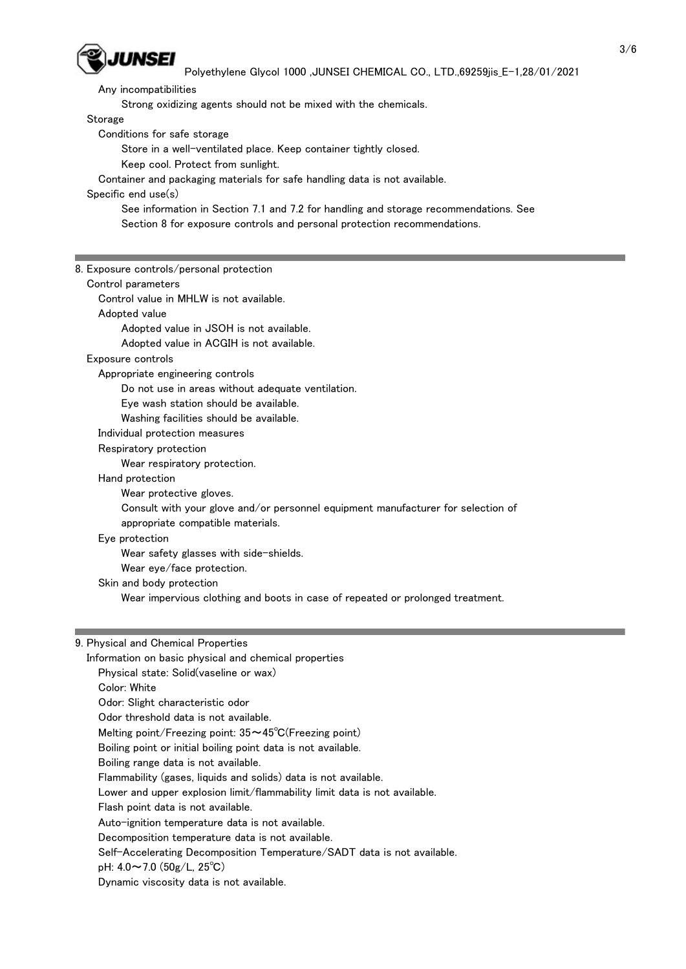

Any incompatibilities

Strong oxidizing agents should not be mixed with the chemicals.

Storage

Conditions for safe storage

Store in a well-ventilated place. Keep container tightly closed.

Keep cool. Protect from sunlight.

Container and packaging materials for safe handling data is not available.

Specific end use(s)

 See information in Section 7.1 and 7.2 for handling and storage recommendations. See Section 8 for exposure controls and personal protection recommendations.

8. Exposure controls/personal protection Control parameters Control value in MHLW is not available. Adopted value Adopted value in JSOH is not available. Adopted value in ACGIH is not available. Exposure controls Appropriate engineering controls Do not use in areas without adequate ventilation. Eye wash station should be available. Washing facilities should be available. Individual protection measures Respiratory protection Wear respiratory protection. Hand protection Wear protective gloves. Consult with your glove and/or personnel equipment manufacturer for selection of appropriate compatible materials. Eye protection Wear safety glasses with side-shields. Wear eye/face protection. Skin and body protection Wear impervious clothing and boots in case of repeated or prolonged treatment. 9. Physical and Chemical Properties

 Information on basic physical and chemical properties Physical state: Solid(vaseline or wax) Color: White Odor: Slight characteristic odor Odor threshold data is not available. Melting point/Freezing point: 35~45℃(Freezing point) Boiling point or initial boiling point data is not available. Boiling range data is not available. Flammability (gases, liquids and solids) data is not available. Lower and upper explosion limit/flammability limit data is not available. Flash point data is not available. Auto-ignition temperature data is not available. Decomposition temperature data is not available. Self-Accelerating Decomposition Temperature/SADT data is not available. pH:  $4.0 \sim 7.0$  (50g/L, 25°C)

Dynamic viscosity data is not available.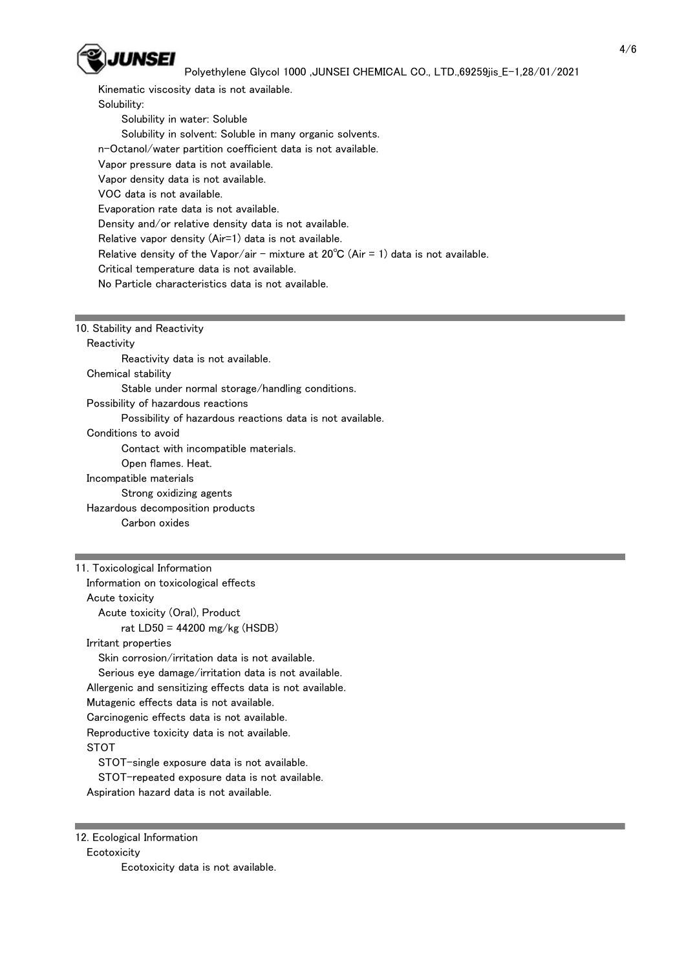

 Kinematic viscosity data is not available. Solubility: Solubility in water: Soluble Solubility in solvent: Soluble in many organic solvents. n-Octanol/water partition coefficient data is not available. Vapor pressure data is not available. Vapor density data is not available. VOC data is not available. Evaporation rate data is not available. Density and/or relative density data is not available. Relative vapor density (Air=1) data is not available. Relative density of the Vapor/air - mixture at  $20^{\circ}C$  (Air = 1) data is not available. Critical temperature data is not available. No Particle characteristics data is not available.

10. Stability and Reactivity

**Reactivity** 

Reactivity data is not available.

Chemical stability

Stable under normal storage/handling conditions.

Possibility of hazardous reactions

Possibility of hazardous reactions data is not available.

Conditions to avoid

Contact with incompatible materials.

Open flames. Heat.

Incompatible materials

Strong oxidizing agents

Hazardous decomposition products

Carbon oxides

11. Toxicological Information Information on toxicological effects Acute toxicity Acute toxicity (Oral), Product rat LD50 = 44200 mg/kg (HSDB) Irritant properties Skin corrosion/irritation data is not available. Serious eye damage/irritation data is not available. Allergenic and sensitizing effects data is not available. Mutagenic effects data is not available. Carcinogenic effects data is not available. Reproductive toxicity data is not available. **STOT** STOT-single exposure data is not available.

 STOT-repeated exposure data is not available. Aspiration hazard data is not available.

12. Ecological Information **Ecotoxicity** 

Ecotoxicity data is not available.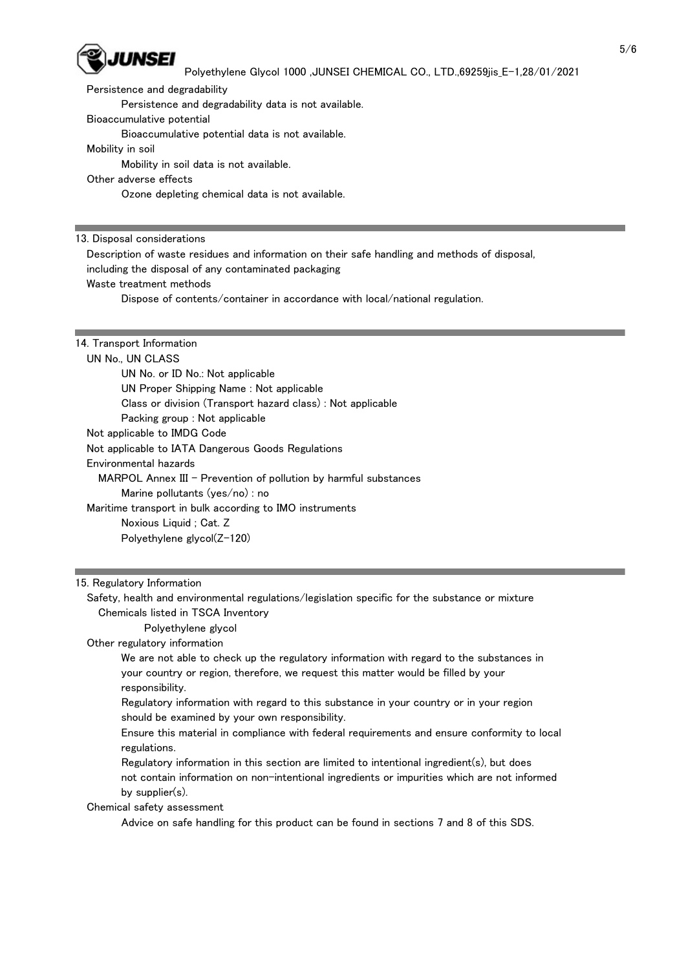

Persistence and degradability

Persistence and degradability data is not available.

Bioaccumulative potential

Bioaccumulative potential data is not available.

Mobility in soil

Mobility in soil data is not available.

Other adverse effects

Ozone depleting chemical data is not available.

13. Disposal considerations

 Description of waste residues and information on their safe handling and methods of disposal, including the disposal of any contaminated packaging

Waste treatment methods

Dispose of contents/container in accordance with local/national regulation.

### 14. Transport Information

UN No., UN CLASS

 UN No. or ID No.: Not applicable UN Proper Shipping Name : Not applicable Class or division (Transport hazard class) : Not applicable Packing group : Not applicable Not applicable to IMDG Code Not applicable to IATA Dangerous Goods Regulations Environmental hazards MARPOL Annex III - Prevention of pollution by harmful substances Marine pollutants (yes/no) : no Maritime transport in bulk according to IMO instruments Noxious Liquid ; Cat. Z Polyethylene glycol(Z-120)

#### 15. Regulatory Information

 Safety, health and environmental regulations/legislation specific for the substance or mixture Chemicals listed in TSCA Inventory

Polyethylene glycol

Other regulatory information

 We are not able to check up the regulatory information with regard to the substances in your country or region, therefore, we request this matter would be filled by your responsibility.

 Regulatory information with regard to this substance in your country or in your region should be examined by your own responsibility.

 Ensure this material in compliance with federal requirements and ensure conformity to local regulations.

 Regulatory information in this section are limited to intentional ingredient(s), but does not contain information on non-intentional ingredients or impurities which are not informed by supplier(s).

Chemical safety assessment

Advice on safe handling for this product can be found in sections 7 and 8 of this SDS.